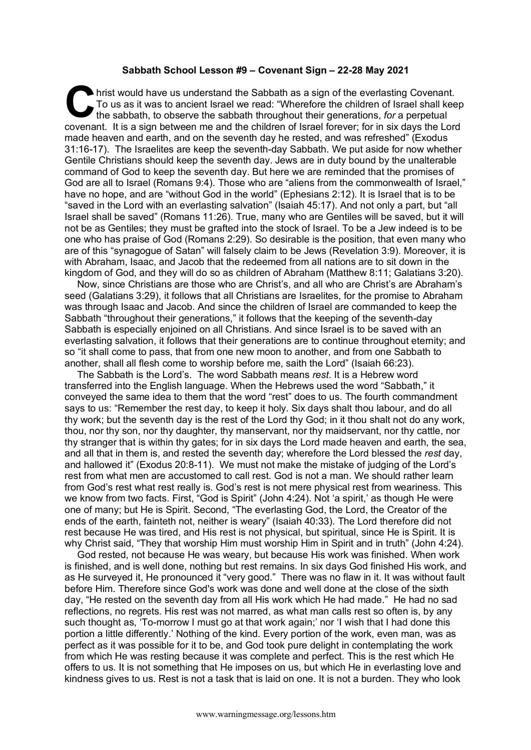## **Sabbath School Lesson #9 – Covenant Sign – 22-28 May 2021**

hrist would have us understand the Sabbath as a sign of the everlasting Covenant. To us as it was to ancient Israel we read: "Wherefore the children of Israel shall keep the sabbath, to observe the sabbath throughout their generations, *for* a perpetual covenant. It is a sign between me and the children of Israel forever; for in six days the Lord made heaven and earth, and on the seventh day he rested, and was refreshed" (Exodus 31:16-17). The Israelites are keep the seventh-day Sabbath. We put aside for now whether Gentile Christians should keep the seventh day. Jews are in duty bound by the unalterable command of God to keep the seventh day. But here we are reminded that the promises of God are all to Israel (Romans 9:4). Those who are "aliens from the commonwealth of Israel," have no hope, and are "without God in the world" (Ephesians 2:12). It is Israel that is to be "saved in the Lord with an everlasting salvation" (Isaiah 45:17). And not only a part, but "all Israel shall be saved" (Romans 11:26). True, many who are Gentiles will be saved, but it will not be as Gentiles; they must be grafted into the stock of Israel. To be a Jew indeed is to be one who has praise of God (Romans 2:29). So desirable is the position, that even many who are of this "synagogue of Satan" will falsely claim to be Jews (Revelation 3:9). Moreover, it is with Abraham, Isaac, and Jacob that the redeemed from all nations are to sit down in the kingdom of God, and they will do so as children of Abraham (Matthew 8:11; Galatians 3:20). C hris<br>To<br>the

Now, since Christians are those who are Christ's, and all who are Christ's are Abraham's seed (Galatians 3:29), it follows that all Christians are Israelites, for the promise to Abraham was through Isaac and Jacob. And since the children of Israel are commanded to keep the Sabbath "throughout their generations," it follows that the keeping of the seventh-day Sabbath is especially enjoined on all Christians. And since Israel is to be saved with an everlasting salvation, it follows that their generations are to continue throughout eternity; and so "it shall come to pass, that from one new moon to another, and from one Sabbath to another, shall all flesh come to worship before me, saith the Lord" (Isaiah 66:23).

The Sabbath is the Lord's. The word Sabbath means *rest*. It is a Hebrew word transferred into the English language. When the Hebrews used the word "Sabbath," it conveyed the same idea to them that the word "rest" does to us. The fourth commandment says to us: "Remember the rest day, to keep it holy. Six days shalt thou labour, and do all thy work; but the seventh day is the rest of the Lord thy God; in it thou shalt not do any work, thou, nor thy son, nor thy daughter, thy manservant, nor thy maidservant, nor thy cattle, nor thy stranger that is within thy gates; for in six days the Lord made heaven and earth, the sea, and all that in them is, and rested the seventh day; wherefore the Lord blessed the *rest* day, and hallowed it" (Exodus 20:8-11). We must not make the mistake of judging of the Lord's rest from what men are accustomed to call rest. God is not a man. We should rather learn from God's rest what rest really is. God's rest is not mere physical rest from weariness. This we know from two facts. First, "God is Spirit" (John 4:24). Not 'a spirit,' as though He were one of many; but He is Spirit. Second, "The everlasting God, the Lord, the Creator of the ends of the earth, fainteth not, neither is weary" (Isaiah 40:33). The Lord therefore did not rest because He was tired, and His rest is not physical, but spiritual, since He is Spirit. It is why Christ said, "They that worship Him must worship Him in Spirit and in truth" (John 4:24).

God rested, not because He was weary, but because His work was finished. When work is finished, and is well done, nothing but rest remains. In six days God finished His work, and as He surveyed it, He pronounced it "very good." There was no flaw in it. It was without fault before Him. Therefore since God's work was done and well done at the close of the sixth day, "He rested on the seventh day from all His work which He had made." He had no sad reflections, no regrets. His rest was not marred, as what man calls rest so often is, by any such thought as, 'To-morrow I must go at that work again;' nor 'I wish that I had done this portion a little differently.' Nothing of the kind. Every portion of the work, even man, was as perfect as it was possible for it to be, and God took pure delight in contemplating the work from which He was resting because it was complete and perfect. This is the rest which He offers to us. It is not something that He imposes on us, but which He in everlasting love and kindness gives to us. Rest is not a task that is laid on one. It is not a burden. They who look